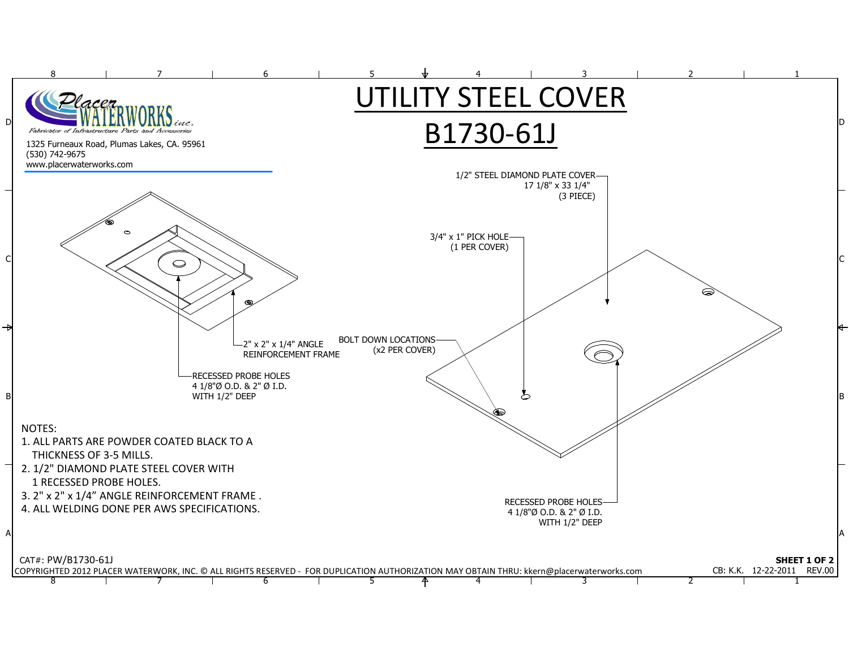